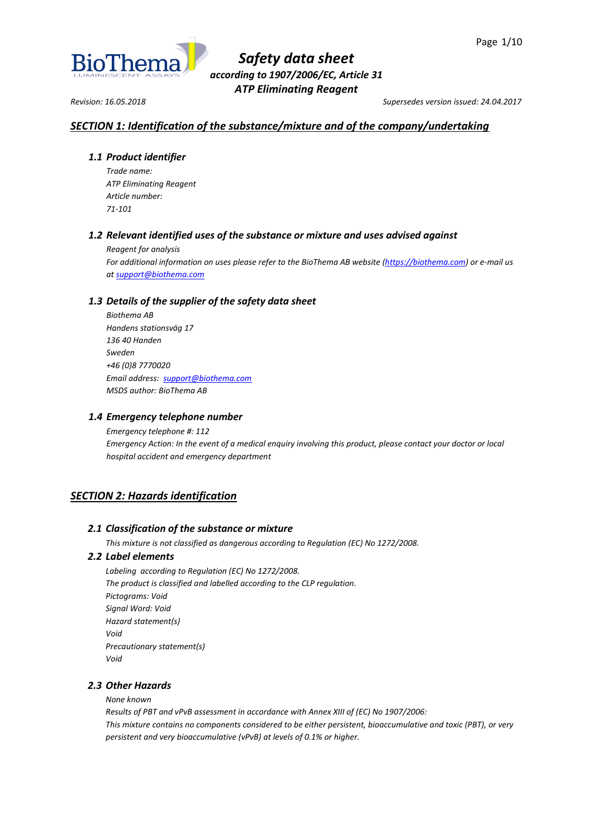

*Revision: 16.05.2018 Supersedes version issued: 24.04.2017*

# *SECTION 1: Identification of the substance/mixture and of the company/undertaking*

## *1.1 Product identifier*

*Trade name: ATP Eliminating Reagent Article number: 71-101*

# *1.2 Relevant identified uses of the substance or mixture and uses advised against*

*Reagent for analysis*

*For additional information on uses please refer to the BioThema AB website [\(https://biothema.com\)](https://biothema.com/) or e-mail us a[t support@biothema.com](mailto:support@biothema.com)*

# *1.3 Details of the supplier of the safety data sheet*

*Biothema AB Handens stationsväg 17 136 40 Handen Sweden +46 (0)8 7770020 Email address: [support@biothema.com](mailto:support@biothema.com) MSDS author: BioThema AB*

## *1.4 Emergency telephone number*

*Emergency telephone #: 112 Emergency Action: In the event of a medical enquiry involving this product, please contact your doctor or local hospital accident and emergency department*

# *SECTION 2: Hazards identification*

## *2.1 Classification of the substance or mixture*

*This mixture is not classified as dangerous according to Regulation (EC) No 1272/2008.*

## *2.2 Label elements*

*Labeling according to Regulation (EC) No 1272/2008. The product is classified and labelled according to the CLP regulation. Pictograms: Void Signal Word: Void Hazard statement(s) Void Precautionary statement(s) Void*

## *2.3 Other Hazards*

*None known*

*Results of PBT and vPvB assessment in accordance with Annex XIII of (EC) No 1907/2006: This mixture contains no components considered to be either persistent, bioaccumulative and toxic (PBT), or very persistent and very bioaccumulative (vPvB) at levels of 0.1% or higher.*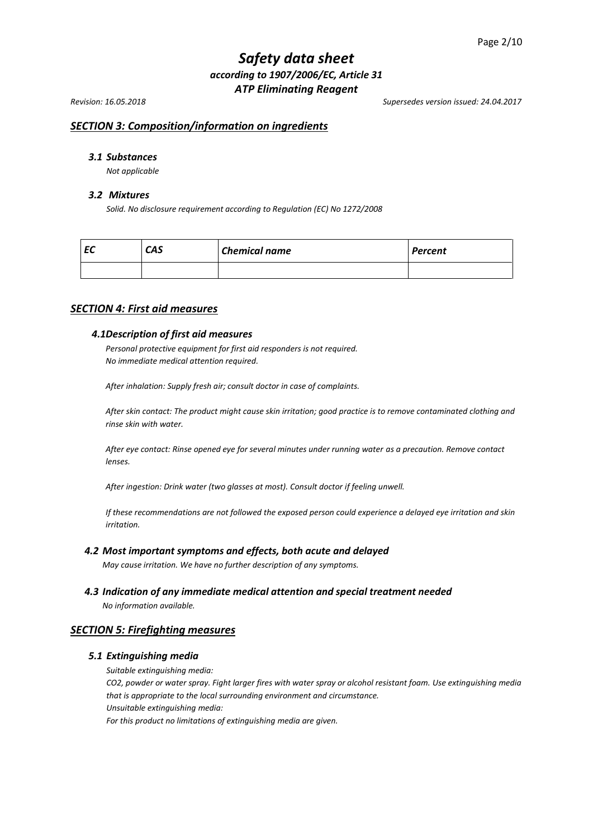*Revision: 16.05.2018 Supersedes version issued: 24.04.2017*

# *SECTION 3: Composition/information on ingredients*

## *3.1 Substances*

*Not applicable*

#### *3.2 Mixtures*

*Solid. No disclosure requirement according to Regulation (EC) No 1272/2008*

| --<br>c | <b>CAS</b> | <b>Chemical name</b> | <b>Percent</b> |
|---------|------------|----------------------|----------------|
|         |            |                      |                |

### *SECTION 4: First aid measures*

### *4.1Description of first aid measures*

*Personal protective equipment for first aid responders is not required. No immediate medical attention required.*

*After inhalation: Supply fresh air; consult doctor in case of complaints.*

*After skin contact: The product might cause skin irritation; good practice is to remove contaminated clothing and rinse skin with water.*

*After eye contact: Rinse opened eye for several minutes under running water as a precaution. Remove contact lenses.*

*After ingestion: Drink water (two glasses at most). Consult doctor if feeling unwell.*

*If these recommendations are not followed the exposed person could experience a delayed eye irritation and skin irritation.*

#### *4.2 Most important symptoms and effects, both acute and delayed*

*May cause irritation. We have no further description of any symptoms.*

*4.3 Indication of any immediate medical attention and special treatment needed*

*No information available.*

#### *SECTION 5: Firefighting measures*

#### *5.1 Extinguishing media*

*Suitable extinguishing media:*

*CO2, powder or water spray. Fight larger fires with water spray or alcohol resistant foam. Use extinguishing media that is appropriate to the local surrounding environment and circumstance. Unsuitable extinguishing media:*

*For this product no limitations of extinguishing media are given.*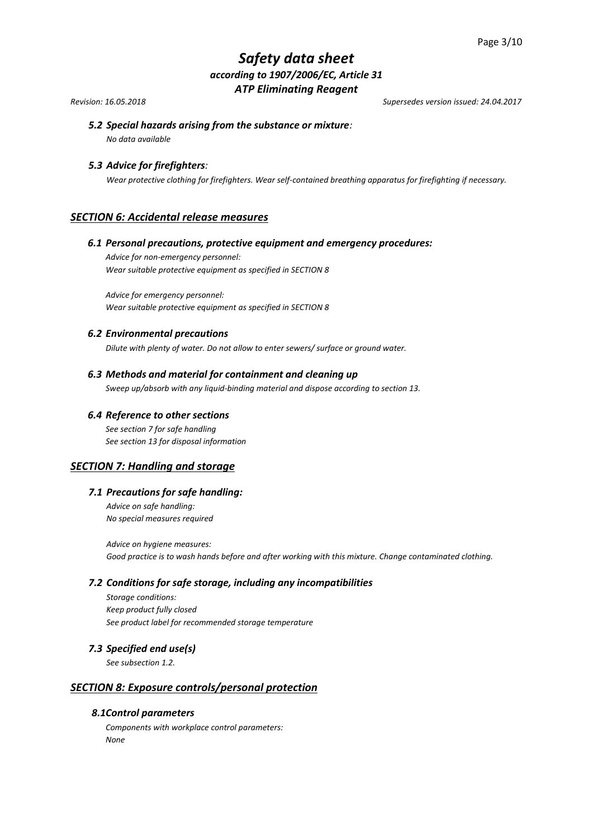*Revision: 16.05.2018 Supersedes version issued: 24.04.2017*

# *5.2 Special hazards arising from the substance or mixture:*

*No data available*

## *5.3 Advice for firefighters:*

*Wear protective clothing for firefighters. Wear self-contained breathing apparatus for firefighting if necessary.*

## *SECTION 6: Accidental release measures*

#### *6.1 Personal precautions, protective equipment and emergency procedures:*

*Advice for non-emergency personnel: Wear suitable protective equipment as specified in SECTION 8*

*Advice for emergency personnel: Wear suitable protective equipment as specified in SECTION 8* 

#### *6.2 Environmental precautions*

*Dilute with plenty of water. Do not allow to enter sewers/ surface or ground water.*

### *6.3 Methods and material for containment and cleaning up*

*Sweep up/absorb with any liquid-binding material and dispose according to section 13.*

#### *6.4 Reference to other sections*

*See section 7 for safe handling See section 13 for disposal information*

## *SECTION 7: Handling and storage*

## *7.1 Precautions for safe handling:*

*Advice on safe handling: No special measures required*

*Advice on hygiene measures: Good practice is to wash hands before and after working with this mixture. Change contaminated clothing.*

#### *7.2 Conditions for safe storage, including any incompatibilities*

*Storage conditions: Keep product fully closed See product label for recommended storage temperature* 

## *7.3 Specified end use(s)*

*See subsection 1.2.*

## *SECTION 8: Exposure controls/personal protection*

### *8.1Control parameters*

*Components with workplace control parameters: None*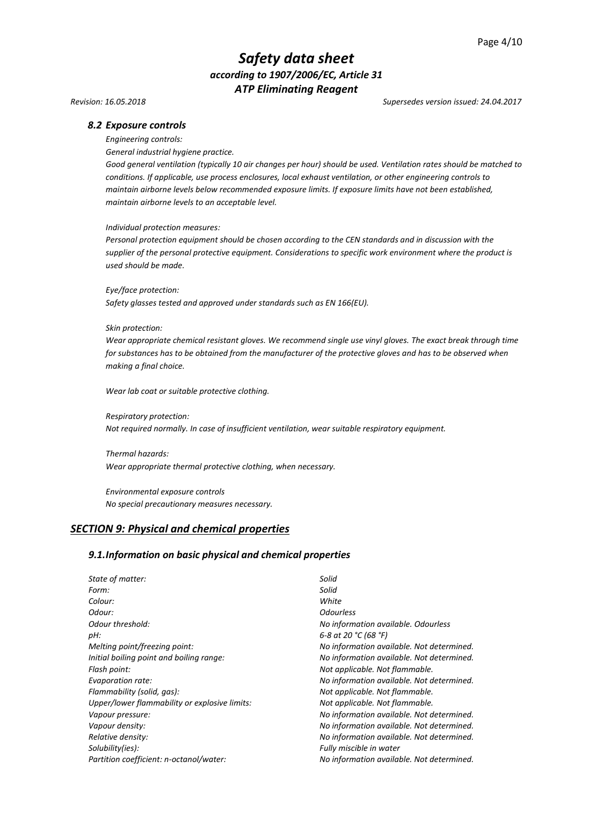*Revision: 16.05.2018 Supersedes version issued: 24.04.2017*

#### *8.2 Exposure controls*

*Engineering controls:*

*General industrial hygiene practice.*

*Good general ventilation (typically 10 air changes per hour) should be used. Ventilation rates should be matched to conditions. If applicable, use process enclosures, local exhaust ventilation, or other engineering controls to maintain airborne levels below recommended exposure limits. If exposure limits have not been established, maintain airborne levels to an acceptable level.*

#### *Individual protection measures:*

*Personal protection equipment should be chosen according to the CEN standards and in discussion with the supplier of the personal protective equipment. Considerations to specific work environment where the product is used should be made.*

*Eye/face protection:*

*Safety glasses tested and approved under standards such as EN 166(EU).*

#### *Skin protection:*

*Wear appropriate chemical resistant gloves. We recommend single use vinyl gloves. The exact break through time for substances has to be obtained from the manufacturer of the protective gloves and has to be observed when making a final choice.*

*Wear lab coat or suitable protective clothing.*

*Respiratory protection: Not required normally. In case of insufficient ventilation, wear suitable respiratory equipment.*

*Thermal hazards: Wear appropriate thermal protective clothing, when necessary.*

*Environmental exposure controls No special precautionary measures necessary.*

## *SECTION 9: Physical and chemical properties*

#### *9.1.Information on basic physical and chemical properties*

| State of matter:                              | Solid                                     |  |
|-----------------------------------------------|-------------------------------------------|--|
| Form:                                         | Solid                                     |  |
| Colour:                                       | White                                     |  |
| Odour:                                        | <b>Odourless</b>                          |  |
| Odour threshold:                              | No information available. Odourless       |  |
| pH:                                           | 6-8 at 20 °C (68 °F)                      |  |
| Melting point/freezing point:                 | No information available. Not determined. |  |
| Initial boiling point and boiling range:      | No information available. Not determined. |  |
| Flash point:                                  | Not applicable. Not flammable.            |  |
| Evaporation rate:                             | No information available. Not determined. |  |
| Flammability (solid, gas):                    | Not applicable. Not flammable.            |  |
| Upper/lower flammability or explosive limits: | Not applicable. Not flammable.            |  |
| Vapour pressure:                              | No information available. Not determined. |  |
| Vapour density:                               | No information available. Not determined. |  |
| Relative density:                             | No information available. Not determined. |  |
| Solubility(ies):                              | Fully miscible in water                   |  |
| Partition coefficient: n-octanol/water:       | No information available. Not determined. |  |
|                                               |                                           |  |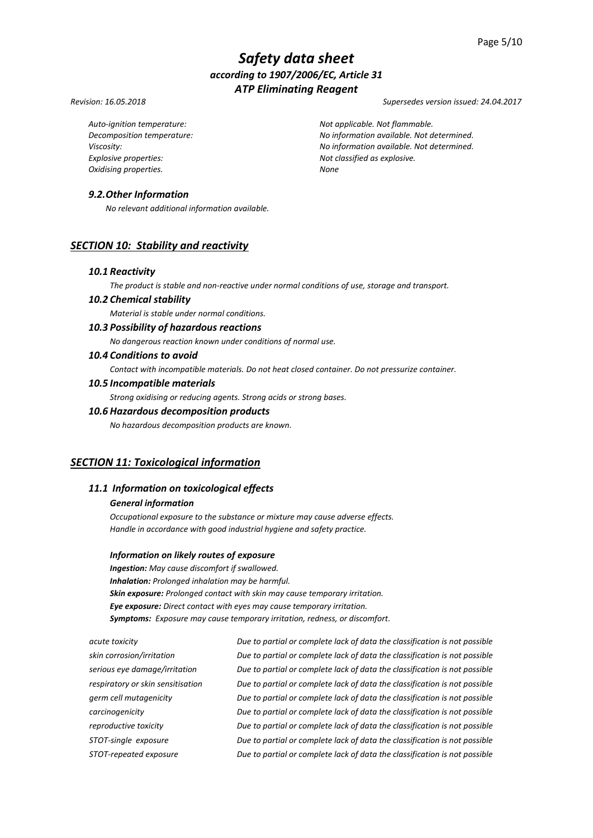#### *Revision: 16.05.2018 Supersedes version issued: 24.04.2017*

*Explosive properties: Not classified as explosive. Oxidising properties. None*

*Auto-ignition temperature: Not applicable. Not flammable. Decomposition temperature: No information available. Not determined. Viscosity: No information available. Not determined.*

## *9.2.Other Information*

*No relevant additional information available.*

## *SECTION 10: Stability and reactivity*

#### *10.1 Reactivity*

*The product is stable and non-reactive under normal conditions of use, storage and transport.*

## *10.2 Chemical stability*

*Material is stable under normal conditions.*

## *10.3 Possibility of hazardous reactions*

*No dangerous reaction known under conditions of normal use.*

## *10.4 Conditions to avoid*

*Contact with incompatible materials. Do not heat closed container. Do not pressurize container.*

#### *10.5 Incompatible materials*

*Strong oxidising or reducing agents. Strong acids or strong bases.*

# *10.6 Hazardous decomposition products*

*No hazardous decomposition products are known.*

### *SECTION 11: Toxicological information*

## *11.1 Information on toxicological effects*

#### *General information*

*Occupational exposure to the substance or mixture may cause adverse effects. Handle in accordance with good industrial hygiene and safety practice.*

#### *Information on likely routes of exposure*

*Ingestion: May cause discomfort if swallowed. Inhalation: Prolonged inhalation may be harmful. Skin exposure: Prolonged contact with skin may cause temporary irritation. Eye exposure: Direct contact with eyes may cause temporary irritation. Symptoms: Exposure may cause temporary irritation, redness, or discomfort.*

*acute toxicity Due to partial or complete lack of data the classification is not possible skin corrosion/irritation Due to partial or complete lack of data the classification is not possible serious eye damage/irritation Due to partial or complete lack of data the classification is not possible respiratory or skin sensitisation Due to partial or complete lack of data the classification is not possible germ cell mutagenicity Due to partial or complete lack of data the classification is not possible carcinogenicity Due to partial or complete lack of data the classification is not possible reproductive toxicity Due to partial or complete lack of data the classification is not possible STOT-single exposure Due to partial or complete lack of data the classification is not possible STOT-repeated exposure Due to partial or complete lack of data the classification is not possible*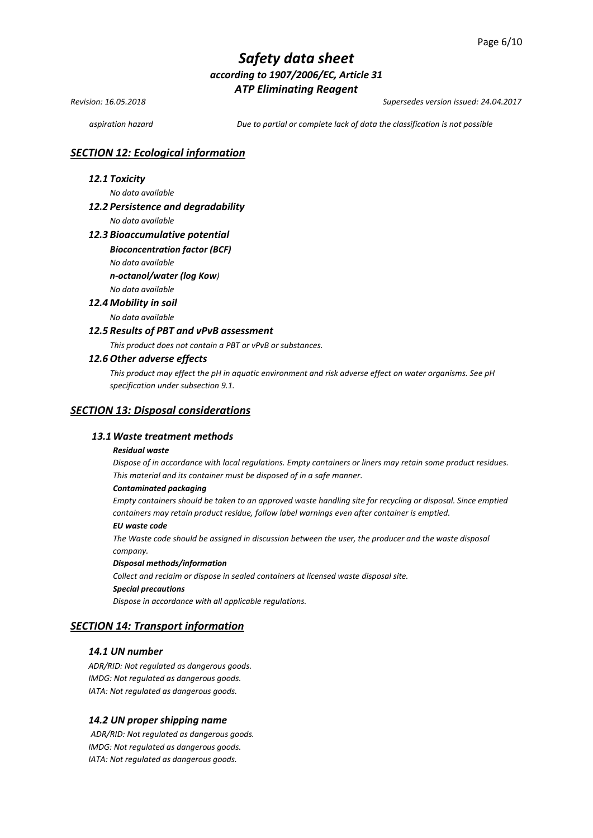*Revision: 16.05.2018 Supersedes version issued: 24.04.2017*

*aspiration hazard Due to partial or complete lack of data the classification is not possible*

## *SECTION 12: Ecological information*

### *12.1 Toxicity*

*No data available* 

### *12.2 Persistence and degradability*

*No data available*

#### *12.3 Bioaccumulative potential*

#### *Bioconcentration factor (BCF)*

*No data available* 

*n-octanol/water (log Kow)*

# *No data available*

*12.4 Mobility in soil* 

*No data available* 

### *12.5 Results of PBT and vPvB assessment*

*This product does not contain a PBT or vPvB or substances.*

#### *12.6 Other adverse effects*

*This product may effect the pH in aquatic environment and risk adverse effect on water organisms. See pH specification under subsection 9.1.*

#### *SECTION 13: Disposal considerations*

#### *13.1Waste treatment methods*

#### *Residual waste*

*Dispose of in accordance with local regulations. Empty containers or liners may retain some product residues. This material and its container must be disposed of in a safe manner.*

#### *Contaminated packaging*

*Empty containers should be taken to an approved waste handling site for recycling or disposal. Since emptied containers may retain product residue, follow label warnings even after container is emptied.*

#### *EU waste code*

*The Waste code should be assigned in discussion between the user, the producer and the waste disposal company.*

#### *Disposal methods/information*

*Collect and reclaim or dispose in sealed containers at licensed waste disposal site. Special precautions*

*Dispose in accordance with all applicable regulations.*

# *SECTION 14: Transport information*

### *14.1 UN number*

*ADR/RID: Not regulated as dangerous goods. IMDG: Not regulated as dangerous goods. IATA: Not regulated as dangerous goods.*

#### *14.2 UN proper shipping name*

*ADR/RID: Not regulated as dangerous goods. IMDG: Not regulated as dangerous goods. IATA: Not regulated as dangerous goods.*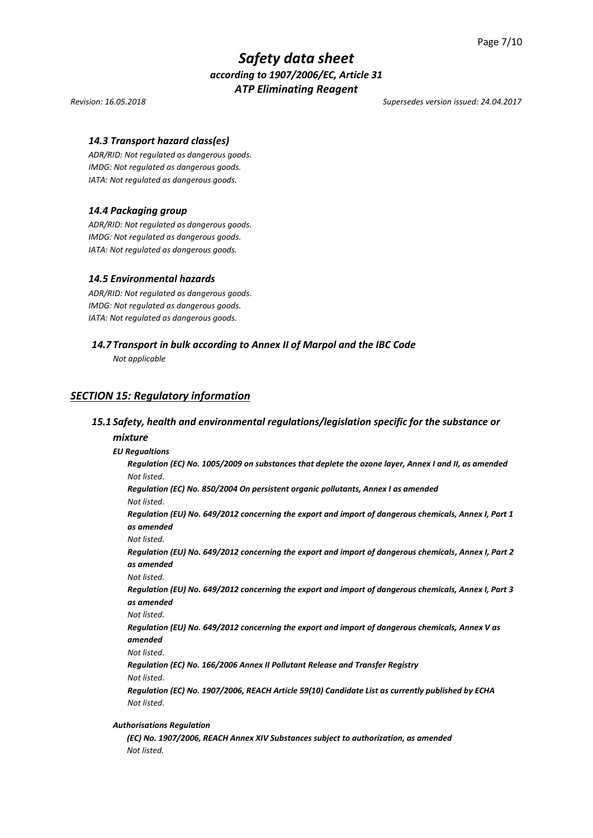*Revision: 16.05.2018 Supersedes version issued: 24.04.2017*

### *14.3 Transport hazard class(es)*

*ADR/RID: Not regulated as dangerous goods. IMDG: Not regulated as dangerous goods. IATA: Not regulated as dangerous goods.*

#### *14.4 Packaging group*

*ADR/RID: Not regulated as dangerous goods. IMDG: Not regulated as dangerous goods. IATA: Not regulated as dangerous goods.*

#### *14.5 Environmental hazards*

*ADR/RID: Not regulated as dangerous goods. IMDG: Not regulated as dangerous goods. IATA: Not regulated as dangerous goods.*

### *14.7 Transport in bulk according to Annex II of Marpol and the IBC Code*

*Not applicable*

### *SECTION 15: Regulatory information*

## *15.1 Safety, health and environmental regulations/legislation specific for the substance or*

#### *mixture*

#### *EU Regualtions*

*Regulation (EC) No. 1005/2009 on substances that deplete the ozone layer, Annex I and II, as amended Not listed.*

*Regulation (EC) No. 850/2004 On persistent organic pollutants, Annex I as amended Not listed.*

*Regulation (EU) No. 649/2012 concerning the export and import of dangerous chemicals, Annex I, Part 1 as amended* 

*Not listed.*

*Regulation (EU) No. 649/2012 concerning the export and import of dangerous chemicals, Annex I, Part 2 as amended*

*Not listed.*

*Regulation (EU) No. 649/2012 concerning the export and import of dangerous chemicals, Annex I, Part 3 as amended*

*Not listed.*

*Regulation (EU) No. 649/2012 concerning the export and import of dangerous chemicals, Annex V as amended*

*Not listed.*

*Regulation (EC) No. 166/2006 Annex II Pollutant Release and Transfer Registry Not listed.*

*Regulation (EC) No. 1907/2006, REACH Article 59(10) Candidate List as currently published by ECHA Not listed.*

#### *Authorisations Regulation*

*(EC) No. 1907/2006, REACH Annex XIV Substances subject to authorization, as amended Not listed.*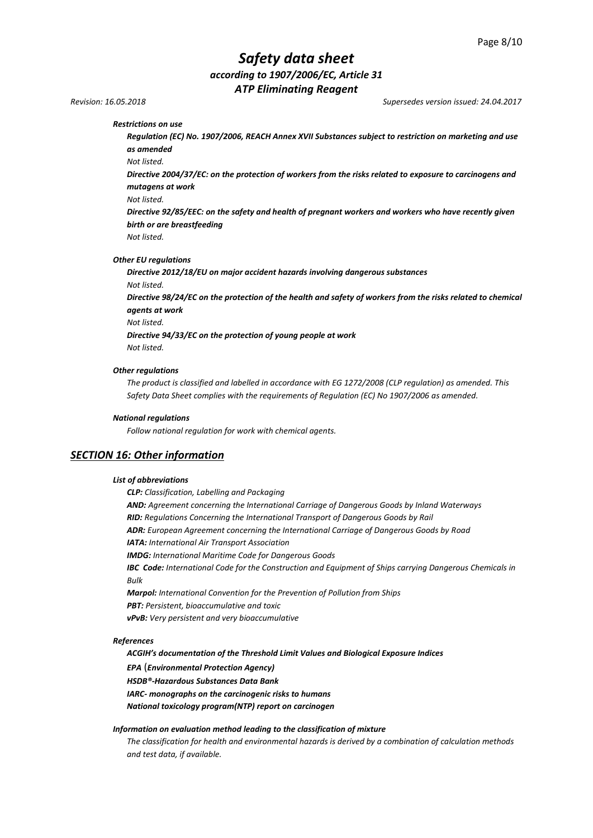*Revision: 16.05.2018 Supersedes version issued: 24.04.2017*

*Restrictions on use* 

*Regulation (EC) No. 1907/2006, REACH Annex XVII Substances subject to restriction on marketing and use as amended*

*Not listed.*

*Directive 2004/37/EC: on the protection of workers from the risks related to exposure to carcinogens and mutagens at work*

*Not listed.*

*Directive 92/85/EEC: on the safety and health of pregnant workers and workers who have recently given birth or are breastfeeding*

*Not listed.*

#### *Other EU regulations*

*Directive 2012/18/EU on major accident hazards involving dangerous substances Not listed.* 

*Directive 98/24/EC on the protection of the health and safety of workers from the risks related to chemical agents at work* 

*Not listed.*

*Directive 94/33/EC on the protection of young people at work Not listed.*

#### *Other regulations*

*The product is classified and labelled in accordance with EG 1272/2008 (CLP regulation) as amended. This Safety Data Sheet complies with the requirements of Regulation (EC) No 1907/2006 as amended.*

#### *National regulations*

*Follow national regulation for work with chemical agents.*

### *SECTION 16: Other information*

#### *List of abbreviations*

*CLP: Classification, Labelling and Packaging AND: Agreement concerning the International Carriage of Dangerous Goods by Inland Waterways RID: Regulations Concerning the International Transport of Dangerous Goods by Rail ADR: European Agreement concerning the International Carriage of Dangerous Goods by Road IATA: International Air Transport Association IMDG: International Maritime Code for Dangerous Goods IBC Code: International Code for the Construction and Equipment of Ships carrying Dangerous Chemicals in Bulk Marpol: International Convention for the Prevention of Pollution from Ships PBT: Persistent, bioaccumulative and toxic vPvB: Very persistent and very bioaccumulative*

#### *References*

*ACGIH's documentation of the Threshold Limit Values and Biological Exposure Indices* 

*EPA* (*Environmental Protection Agency)*

*HSDB®-Hazardous Substances Data Bank*

*IARC- monographs on the carcinogenic risks to humans*

*National toxicology program(NTP) report on carcinogen*

#### *Information on evaluation method leading to the classification of mixture*

*The classification for health and environmental hazards is derived by a combination of calculation methods and test data, if available.*